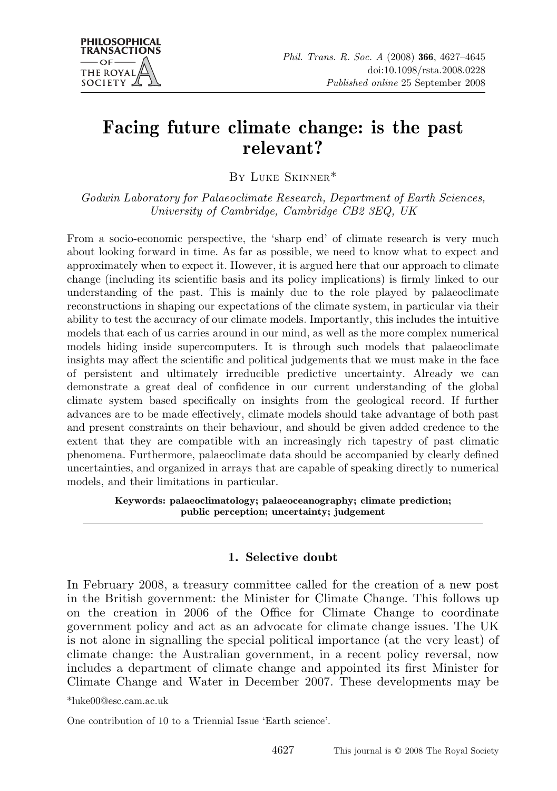

## Facing future climate change: is the past relevant?

BY LUKE SKINNER\*

Godwin Laboratory for Palaeoclimate Research, Department of Earth Sciences, University of Cambridge, Cambridge CB2 3EQ, UK

From a socio-economic perspective, the 'sharp end' of climate research is very much about looking forward in time. As far as possible, we need to know what to expect and approximately when to expect it. However, it is argued here that our approach to climate change (including its scientific basis and its policy implications) is firmly linked to our understanding of the past. This is mainly due to the role played by palaeoclimate reconstructions in shaping our expectations of the climate system, in particular via their ability to test the accuracy of our climate models. Importantly, this includes the intuitive models that each of us carries around in our mind, as well as the more complex numerical models hiding inside supercomputers. It is through such models that palaeoclimate insights may affect the scientific and political judgements that we must make in the face of persistent and ultimately irreducible predictive uncertainty. Already we can demonstrate a great deal of confidence in our current understanding of the global climate system based specifically on insights from the geological record. If further advances are to be made effectively, climate models should take advantage of both past and present constraints on their behaviour, and should be given added credence to the extent that they are compatible with an increasingly rich tapestry of past climatic phenomena. Furthermore, palaeoclimate data should be accompanied by clearly defined uncertainties, and organized in arrays that are capable of speaking directly to numerical models, and their limitations in particular.

> Keywords: palaeoclimatology; palaeoceanography; climate prediction; public perception; uncertainty; judgement

## 1. Selective doubt

In February 2008, a treasury committee called for the creation of a new post in the British government: the Minister for Climate Change. This follows up on the creation in 2006 of the Office for Climate Change to coordinate government policy and act as an advocate for climate change issues. The UK is not alone in signalling the special political importance (at the very least) of climate change: the Australian government, in a recent policy reversal, now includes a department of climate change and appointed its first Minister for Climate Change and Water in December 2007. These developments may be

\*luke00@esc.cam.ac.uk

One contribution of 10 to a Triennial Issue 'Earth science'.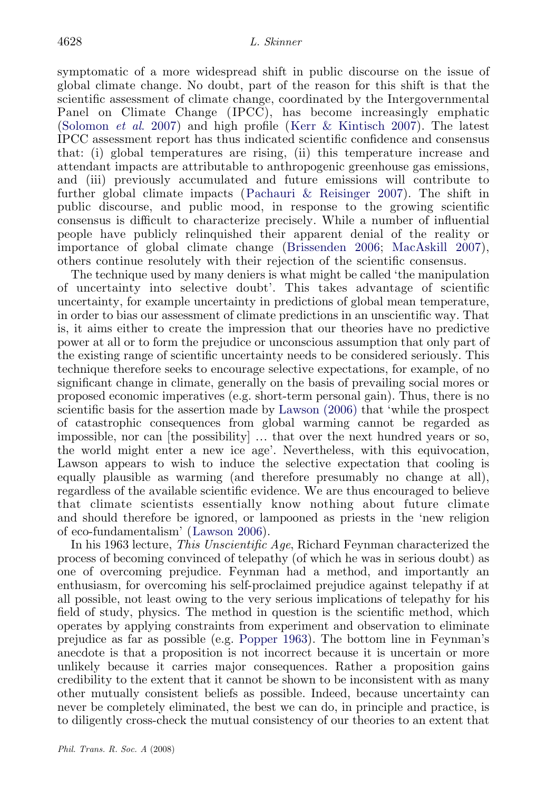symptomatic of a more widespread shift in public discourse on the issue of global climate change. No doubt, part of the reason for this shift is that the scientific assessment of climate change, coordinated by the Intergovernmental Panel on Climate Change (IPCC), has become increasingly emphatic [\(Solomon](#page-16-0) et al. 2007) and high profile ([Kerr & Kintisch 2007\)](#page-14-0). The latest IPCC assessment report has thus indicated scientific confidence and consensus that: (i) global temperatures are rising, (ii) this temperature increase and attendant impacts are attributable to anthropogenic greenhouse gas emissions, and (iii) previously accumulated and future emissions will contribute to further global climate impacts ([Pachauri & Reisinger 2007\)](#page-15-0). The shift in public discourse, and public mood, in response to the growing scientific consensus is difficult to characterize precisely. While a number of influential people have publicly relinquished their apparent denial of the reality or importance of global climate change ([Brissenden 2006;](#page-13-0) [MacAskill 2007\)](#page-15-0), others continue resolutely with their rejection of the scientific consensus.

The technique used by many deniers is what might be called 'the manipulation of uncertainty into selective doubt'. This takes advantage of scientific uncertainty, for example uncertainty in predictions of global mean temperature, in order to bias our assessment of climate predictions in an unscientific way. That is, it aims either to create the impression that our theories have no predictive power at all or to form the prejudice or unconscious assumption that only part of the existing range of scientific uncertainty needs to be considered seriously. This technique therefore seeks to encourage selective expectations, for example, of no significant change in climate, generally on the basis of prevailing social mores or proposed economic imperatives (e.g. short-term personal gain). Thus, there is no scientific basis for the assertion made by [Lawson \(2006\)](#page-15-0) that 'while the prospect of catastrophic consequences from global warming cannot be regarded as impossible, nor can [the possibility]  $\ldots$  that over the next hundred years or so, the world might enter a new ice age'. Nevertheless, with this equivocation, Lawson appears to wish to induce the selective expectation that cooling is equally plausible as warming (and therefore presumably no change at all), regardless of the available scientific evidence. We are thus encouraged to believe that climate scientists essentially know nothing about future climate and should therefore be ignored, or lampooned as priests in the 'new religion of eco-fundamentalism' ([Lawson 2006](#page-15-0)).

In his 1963 lecture, This Unscientific Age, Richard Feynman characterized the process of becoming convinced of telepathy (of which he was in serious doubt) as one of overcoming prejudice. Feynman had a method, and importantly an enthusiasm, for overcoming his self-proclaimed prejudice against telepathy if at all possible, not least owing to the very serious implications of telepathy for his field of study, physics. The method in question is the scientific method, which operates by applying constraints from experiment and observation to eliminate prejudice as far as possible (e.g. [Popper 1963](#page-15-0)). The bottom line in Feynman's anecdote is that a proposition is not incorrect because it is uncertain or more unlikely because it carries major consequences. Rather a proposition gains credibility to the extent that it cannot be shown to be inconsistent with as many other mutually consistent beliefs as possible. Indeed, because uncertainty can never be completely eliminated, the best we can do, in principle and practice, is to diligently cross-check the mutual consistency of our theories to an extent that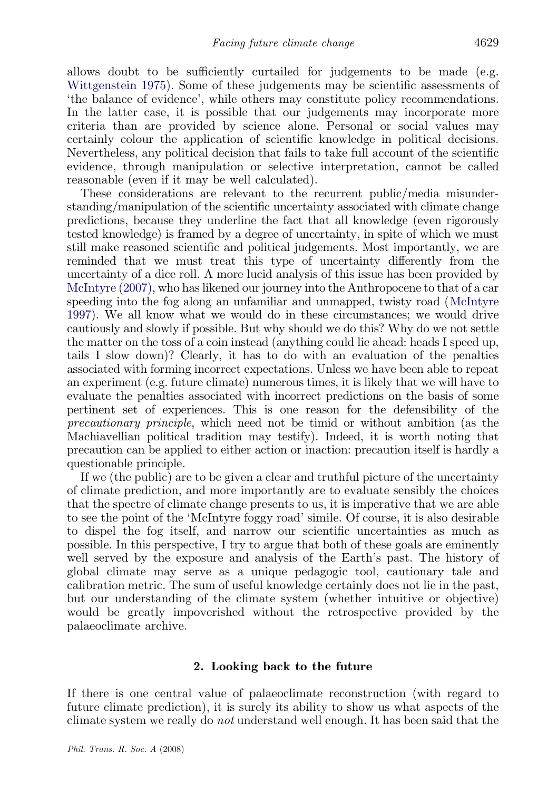allows doubt to be sufficiently curtailed for judgements to be made (e.g. [Wittgenstein 1975](#page-17-0)). Some of these judgements may be scientific assessments of 'the balance of evidence', while others may constitute policy recommendations. In the latter case, it is possible that our judgements may incorporate more criteria than are provided by science alone. Personal or social values may certainly colour the application of scientific knowledge in political decisions. Nevertheless, any political decision that fails to take full account of the scientific evidence, through manipulation or selective interpretation, cannot be called reasonable (even if it may be well calculated).

These considerations are relevant to the recurrent public/media misunderstanding/manipulation of the scientific uncertainty associated with climate change predictions, because they underline the fact that all knowledge (even rigorously tested knowledge) is framed by a degree of uncertainty, in spite of which we must still make reasoned scientific and political judgements. Most importantly, we are reminded that we must treat this type of uncertainty differently from the uncertainty of a dice roll. A more lucid analysis of this issue has been provided by [McIntyre \(2007\),](#page-15-0) who has likened our journey into the Anthropocene to that of a car speeding into the fog along an unfamiliar and unmapped, twisty road ([McIntyre](#page-15-0) [1997\)](#page-15-0). We all know what we would do in these circumstances; we would drive cautiously and slowly if possible. But why should we do this? Why do we not settle the matter on the toss of a coin instead (anything could lie ahead: heads I speed up, tails I slow down)? Clearly, it has to do with an evaluation of the penalties associated with forming incorrect expectations. Unless we have been able to repeat an experiment (e.g. future climate) numerous times, it is likely that we will have to evaluate the penalties associated with incorrect predictions on the basis of some pertinent set of experiences. This is one reason for the defensibility of the precautionary principle, which need not be timid or without ambition (as the Machiavellian political tradition may testify). Indeed, it is worth noting that precaution can be applied to either action or inaction: precaution itself is hardly a questionable principle.

If we (the public) are to be given a clear and truthful picture of the uncertainty of climate prediction, and more importantly are to evaluate sensibly the choices that the spectre of climate change presents to us, it is imperative that we are able to see the point of the 'McIntyre foggy road' simile. Of course, it is also desirable to dispel the fog itself, and narrow our scientific uncertainties as much as possible. In this perspective, I try to argue that both of these goals are eminently well served by the exposure and analysis of the Earth's past. The history of global climate may serve as a unique pedagogic tool, cautionary tale and calibration metric. The sum of useful knowledge certainly does not lie in the past, but our understanding of the climate system (whether intuitive or objective) would be greatly impoverished without the retrospective provided by the palaeoclimate archive.

### 2. Looking back to the future

If there is one central value of palaeoclimate reconstruction (with regard to future climate prediction), it is surely its ability to show us what aspects of the climate system we really do not understand well enough. It has been said that the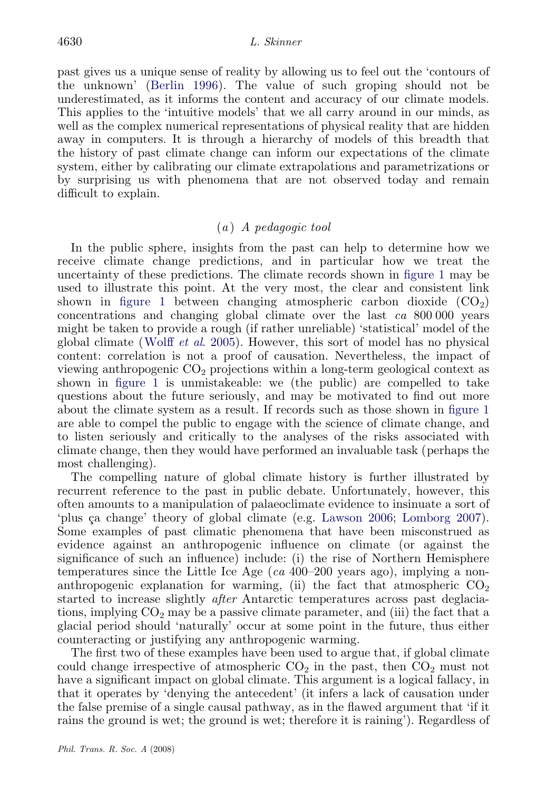past gives us a unique sense of reality by allowing us to feel out the 'contours of the unknown' [\(Berlin 1996](#page-13-0)). The value of such groping should not be underestimated, as it informs the content and accuracy of our climate models. This applies to the 'intuitive models' that we all carry around in our minds, as well as the complex numerical representations of physical reality that are hidden away in computers. It is through a hierarchy of models of this breadth that the history of past climate change can inform our expectations of the climate system, either by calibrating our climate extrapolations and parametrizations or by surprising us with phenomena that are not observed today and remain difficult to explain.

## $(a)$  A pedagogic tool

In the public sphere, insights from the past can help to determine how we receive climate change predictions, and in particular how we treat the uncertainty of these predictions. The climate records shown in [figure 1](#page-4-0) may be used to illustrate this point. At the very most, the clear and consistent link shown in [figure 1](#page-4-0) between changing atmospheric carbon dioxide  $(CO<sub>2</sub>)$ concentrations and changing global climate over the last ca 800 000 years might be taken to provide a rough (if rather unreliable) 'statistical' model of the global climate (Wolff et al[. 2005](#page-17-0)). However, this sort of model has no physical content: correlation is not a proof of causation. Nevertheless, the impact of viewing anthropogenic  $CO<sub>2</sub>$  projections within a long-term geological context as shown in [figure 1](#page-4-0) is unmistakeable: we (the public) are compelled to take questions about the future seriously, and may be motivated to find out more about the climate system as a result. If records such as those shown in [figure 1](#page-4-0) are able to compel the public to engage with the science of climate change, and to listen seriously and critically to the analyses of the risks associated with climate change, then they would have performed an invaluable task (perhaps the most challenging).

The compelling nature of global climate history is further illustrated by recurrent reference to the past in public debate. Unfortunately, however, this often amounts to a manipulation of palaeoclimate evidence to insinuate a sort of 'plus ca change' theory of global climate (e.g. [Lawson 2006;](#page-15-0) [Lomborg 2007](#page-15-0)). Some examples of past climatic phenomena that have been misconstrued as evidence against an anthropogenic influence on climate (or against the significance of such an influence) include: (i) the rise of Northern Hemisphere temperatures since the Little Ice Age (ca  $400-200$  years ago), implying a nonanthropogenic explanation for warming, (ii) the fact that atmospheric  $CO<sub>2</sub>$ started to increase slightly after Antarctic temperatures across past deglaciations, implying  $CO<sub>2</sub>$  may be a passive climate parameter, and (iii) the fact that a glacial period should 'naturally' occur at some point in the future, thus either counteracting or justifying any anthropogenic warming.

The first two of these examples have been used to argue that, if global climate could change irrespective of atmospheric  $CO<sub>2</sub>$  in the past, then  $CO<sub>2</sub>$  must not have a significant impact on global climate. This argument is a logical fallacy, in that it operates by 'denying the antecedent' (it infers a lack of causation under the false premise of a single causal pathway, as in the flawed argument that 'if it rains the ground is wet; the ground is wet; therefore it is raining'). Regardless of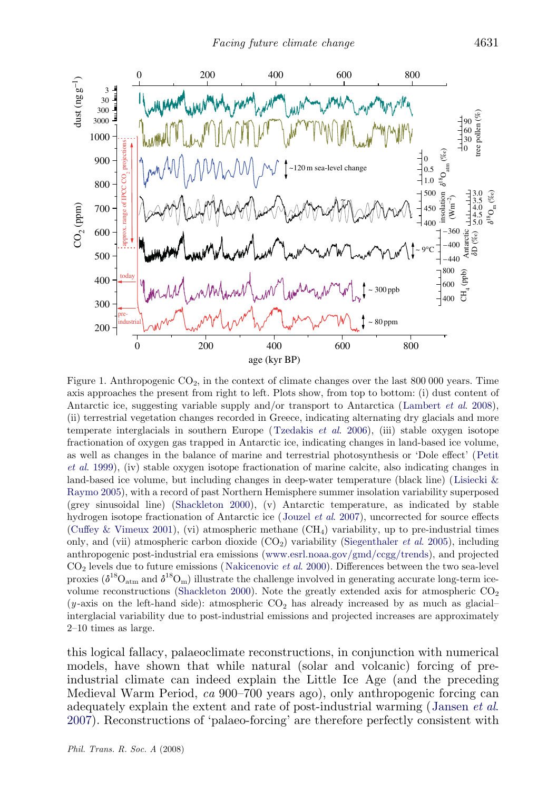<span id="page-4-0"></span>

Figure 1. Anthropogenic CO<sub>2</sub>, in the context of climate changes over the last 800 000 years. Time axis approaches the present from right to left. Plots show, from top to bottom: (i) dust content of Antarctic ice, suggesting variable supply and/or transport to Antarctica ([Lambert](#page-15-0) et al. 2008), (ii) terrestrial vegetation changes recorded in Greece, indicating alternating dry glacials and more temperate interglacials in southern Europe ([Tzedakis](#page-16-0)  $et \ al.$  2006), (iii) stable oxygen isotope fractionation of oxygen gas trapped in Antarctic ice, indicating changes in land-based ice volume, as well as changes in the balance of marine and terrestrial photosynthesis or 'Dole effect' ([Petit](#page-15-0) et al[. 1999](#page-15-0)), (iv) stable oxygen isotope fractionation of marine calcite, also indicating changes in land-based ice volume, but including changes in deep-water temperature (black line) ([Lisiecki &](#page-15-0) [Raymo 2005](#page-15-0)), with a record of past Northern Hemisphere summer insolation variability superposed (grey sinusoidal line) [\(Shackleton 2000](#page-16-0)), (v) Antarctic temperature, as indicated by stable hydrogen isotope fractionation of Antarctic ice ([Jouzel](#page-14-0) et al. 2007), uncorrected for source effects ([Cuffey & Vimeux 2001](#page-14-0)), (vi) atmospheric methane (CH<sub>4</sub>) variability, up to pre-industrial times only, and (vii) atmospheric carbon dioxide  $(CO<sub>2</sub>)$  variability ([Siegenthaler](#page-16-0) *et al.* 2005), including anthropogenic post-industrial era emissions [\(www.esrl.noaa.gov/gmd/ccgg/trends\)](http://www.esrl.noaa.gov/gmd/ccgg/trends), and projected  $CO<sub>2</sub>$  levels due to future emissions ([Nakicenovic](#page-15-0) *et al.* 2000). Differences between the two sea-level proxies  $(\delta^{18}O_{\text{atm}})$  and  $\delta^{18}O_m$ ) illustrate the challenge involved in generating accurate long-term ice-volume reconstructions ([Shackleton 2000](#page-16-0)). Note the greatly extended axis for atmospheric  $CO<sub>2</sub>$ (y-axis on the left-hand side): atmospheric  $CO<sub>2</sub>$  has already increased by as much as glacial– interglacial variability due to post-industrial emissions and projected increases are approximately 2–10 times as large.

this logical fallacy, palaeoclimate reconstructions, in conjunction with numerical models, have shown that while natural (solar and volcanic) forcing of preindustrial climate can indeed explain the Little Ice Age (and the preceding Medieval Warm Period, ca 900–700 years ago), only anthropogenic forcing can adequately explain the extent and rate of post-industrial warming ([Jansen](#page-14-0) et al. [2007](#page-14-0)). Reconstructions of 'palaeo-forcing' are therefore perfectly consistent with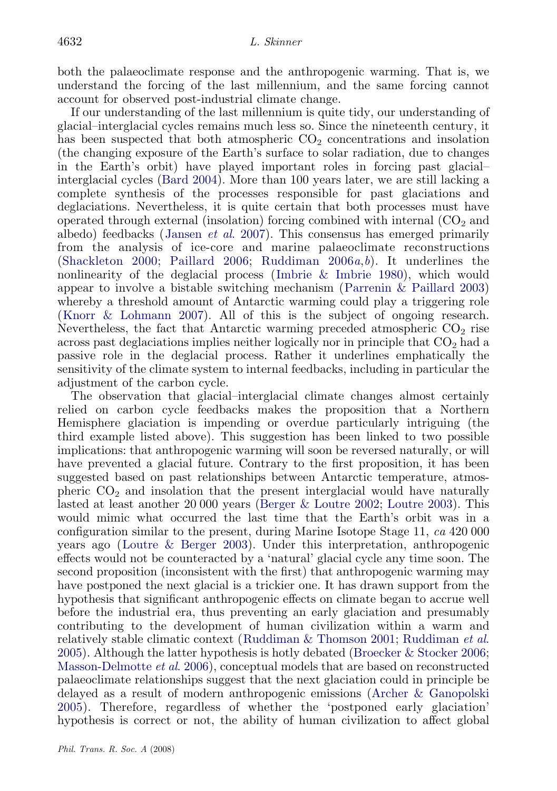both the palaeoclimate response and the anthropogenic warming. That is, we understand the forcing of the last millennium, and the same forcing cannot account for observed post-industrial climate change.

If our understanding of the last millennium is quite tidy, our understanding of glacial–interglacial cycles remains much less so. Since the nineteenth century, it has been suspected that both atmospheric  $CO<sub>2</sub>$  concentrations and insolation (the changing exposure of the Earth's surface to solar radiation, due to changes in the Earth's orbit) have played important roles in forcing past glacial– interglacial cycles [\(Bard 2004](#page-13-0)). More than 100 years later, we are still lacking a complete synthesis of the processes responsible for past glaciations and deglaciations. Nevertheless, it is quite certain that both processes must have operated through external (insolation) forcing combined with internal  $(CO<sub>2</sub>$  and albedo) feedbacks ([Jansen](#page-14-0) et al. 2007). This consensus has emerged primarily from the analysis of ice-core and marine palaeoclimate reconstructions [\(Shackleton 2000;](#page-16-0) [Paillard 2006](#page-15-0); Ruddiman  $2006a, b$  $2006a, b$ ). It underlines the nonlinearity of the deglacial process ([Imbrie & Imbrie 1980\)](#page-14-0), which would appear to involve a bistable switching mechanism ([Parrenin & Paillard 2003](#page-15-0)) whereby a threshold amount of Antarctic warming could play a triggering role ([Knorr & Lohmann 2007](#page-14-0)). All of this is the subject of ongoing research. Nevertheless, the fact that Antarctic warming preceded atmospheric  $CO<sub>2</sub>$  rise across past deglaciations implies neither logically nor in principle that  $CO<sub>2</sub>$  had a passive role in the deglacial process. Rather it underlines emphatically the sensitivity of the climate system to internal feedbacks, including in particular the adjustment of the carbon cycle.

The observation that glacial–interglacial climate changes almost certainly relied on carbon cycle feedbacks makes the proposition that a Northern Hemisphere glaciation is impending or overdue particularly intriguing (the third example listed above). This suggestion has been linked to two possible implications: that anthropogenic warming will soon be reversed naturally, or will have prevented a glacial future. Contrary to the first proposition, it has been suggested based on past relationships between Antarctic temperature, atmospheric  $CO<sub>2</sub>$  and insolation that the present interglacial would have naturally lasted at least another 20 000 years [\(Berger & Loutre 2002](#page-13-0); [Loutre 2003\)](#page-15-0). This would mimic what occurred the last time that the Earth's orbit was in a configuration similar to the present, during Marine Isotope Stage 11, ca 420 000 years ago ([Loutre & Berger 2003](#page-15-0)). Under this interpretation, anthropogenic effects would not be counteracted by a 'natural' glacial cycle any time soon. The second proposition (inconsistent with the first) that anthropogenic warming may have postponed the next glacial is a trickier one. It has drawn support from the hypothesis that significant anthropogenic effects on climate began to accrue well before the industrial era, thus preventing an early glaciation and presumably contributing to the development of human civilization within a warm and relatively stable climatic context ([Ruddiman & Thomson 2001](#page-16-0); [Ruddiman](#page-16-0) et al. [2005\)](#page-16-0). Although the latter hypothesis is hotly debated [\(Broecker & Stocker 2006](#page-13-0); [Masson-Delmotte](#page-15-0) et al. 2006), conceptual models that are based on reconstructed palaeoclimate relationships suggest that the next glaciation could in principle be delayed as a result of modern anthropogenic emissions [\(Archer & Ganopolski](#page-13-0) [2005](#page-13-0)). Therefore, regardless of whether the 'postponed early glaciation' hypothesis is correct or not, the ability of human civilization to affect global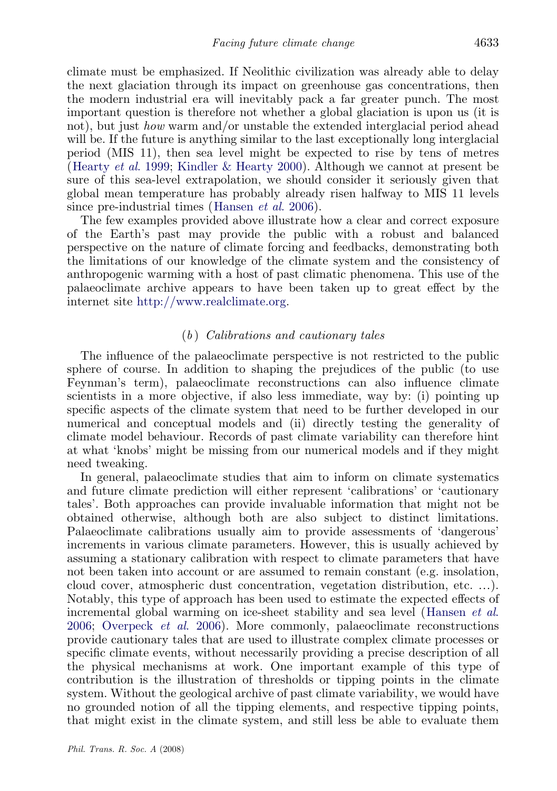climate must be emphasized. If Neolithic civilization was already able to delay the next glaciation through its impact on greenhouse gas concentrations, then the modern industrial era will inevitably pack a far greater punch. The most important question is therefore not whether a global glaciation is upon us (it is not), but just how warm and/or unstable the extended interglacial period ahead will be. If the future is anything similar to the last exceptionally long interglacial period (MIS 11), then sea level might be expected to rise by tens of metres ([Hearty](#page-14-0) et al. 1999; [Kindler & Hearty 2000\)](#page-14-0). Although we cannot at present be sure of this sea-level extrapolation, we should consider it seriously given that global mean temperature has probably already risen halfway to MIS 11 levels since pre-industrial times ([Hansen](#page-14-0) et al. 2006).

The few examples provided above illustrate how a clear and correct exposure of the Earth's past may provide the public with a robust and balanced perspective on the nature of climate forcing and feedbacks, demonstrating both the limitations of our knowledge of the climate system and the consistency of anthropogenic warming with a host of past climatic phenomena. This use of the palaeoclimate archive appears to have been taken up to great effect by the internet site <http://www.realclimate.org>.

## $(b)$  Calibrations and cautionary tales

The influence of the palaeoclimate perspective is not restricted to the public sphere of course. In addition to shaping the prejudices of the public (to use Feynman's term), palaeoclimate reconstructions can also influence climate scientists in a more objective, if also less immediate, way by: (i) pointing up specific aspects of the climate system that need to be further developed in our numerical and conceptual models and (ii) directly testing the generality of climate model behaviour. Records of past climate variability can therefore hint at what 'knobs' might be missing from our numerical models and if they might need tweaking.

In general, palaeoclimate studies that aim to inform on climate systematics and future climate prediction will either represent 'calibrations' or 'cautionary tales'. Both approaches can provide invaluable information that might not be obtained otherwise, although both are also subject to distinct limitations. Palaeoclimate calibrations usually aim to provide assessments of 'dangerous' increments in various climate parameters. However, this is usually achieved by assuming a stationary calibration with respect to climate parameters that have not been taken into account or are assumed to remain constant (e.g. insolation, cloud cover, atmospheric dust concentration, vegetation distribution, etc. ...). Notably, this type of approach has been used to estimate the expected effects of incremental global warming on ice-sheet stability and sea level ([Hansen](#page-14-0) et al. [2006](#page-14-0); [Overpeck](#page-15-0) et al. 2006). More commonly, palaeoclimate reconstructions provide cautionary tales that are used to illustrate complex climate processes or specific climate events, without necessarily providing a precise description of all the physical mechanisms at work. One important example of this type of contribution is the illustration of thresholds or tipping points in the climate system. Without the geological archive of past climate variability, we would have no grounded notion of all the tipping elements, and respective tipping points, that might exist in the climate system, and still less be able to evaluate them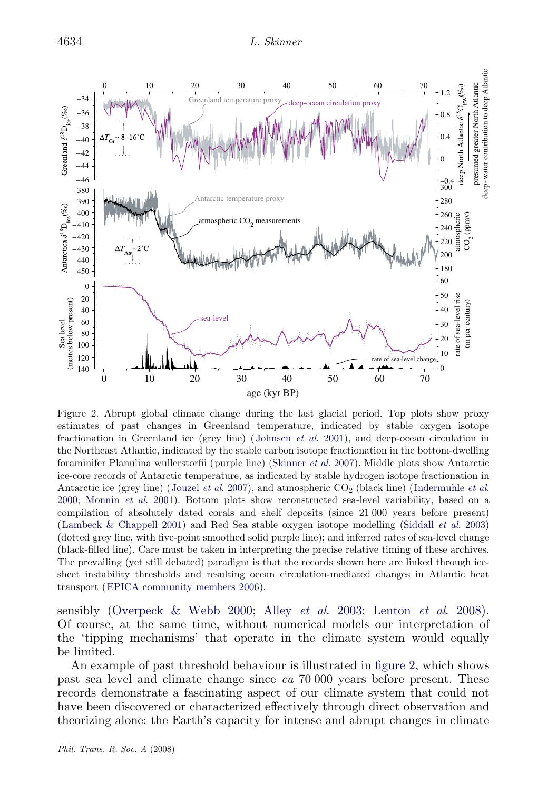<span id="page-7-0"></span>

Figure 2. Abrupt global climate change during the last glacial period. Top plots show proxy estimates of past changes in Greenland temperature, indicated by stable oxygen isotope fractionation in Greenland ice (grey line) ([Johnsen](#page-14-0) et al. 2001), and deep-ocean circulation in the Northeast Atlantic, indicated by the stable carbon isotope fractionation in the bottom-dwelling foraminifer Planulina wullerstorfii (purple line) [\(Skinner](#page-16-0) et al. 2007). Middle plots show Antarctic ice-core records of Antarctic temperature, as indicated by stable hydrogen isotope fractionation in Antarctic ice (grey line) ([Jouzel](#page-14-0) et al. 2007), and atmospheric  $CO<sub>2</sub>$  (black line) ([Indermuhle](#page-14-0) et al. [2000;](#page-14-0) [Monnin](#page-15-0) et al. 2001). Bottom plots show reconstructed sea-level variability, based on a compilation of absolutely dated corals and shelf deposits (since 21 000 years before present) ([Lambeck & Chappell 2001](#page-15-0)) and Red Sea stable oxygen isotope modelling [\(Siddall](#page-16-0) et al. 2003) (dotted grey line, with five-point smoothed solid purple line); and inferred rates of sea-level change (black-filled line). Care must be taken in interpreting the precise relative timing of these archives. The prevailing (yet still debated) paradigm is that the records shown here are linked through icesheet instability thresholds and resulting ocean circulation-mediated changes in Atlantic heat transport ([EPICA community members 2006\)](#page-14-0).

sensibly [\(Overpeck & Webb 2000;](#page-15-0) Alley et al[. 2003;](#page-13-0) [Lenton](#page-15-0) et al. 2008). Of course, at the same time, without numerical models our interpretation of the 'tipping mechanisms' that operate in the climate system would equally be limited.

An example of past threshold behaviour is illustrated in figure 2, which shows past sea level and climate change since ca 70 000 years before present. These records demonstrate a fascinating aspect of our climate system that could not have been discovered or characterized effectively through direct observation and theorizing alone: the Earth's capacity for intense and abrupt changes in climate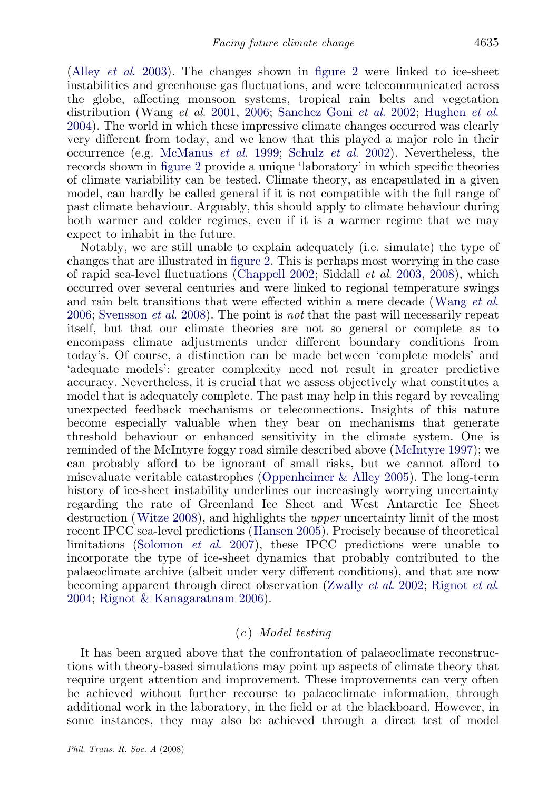(Alley et al[. 2003\)](#page-13-0). The changes shown in [figure 2](#page-7-0) were linked to ice-sheet instabilities and greenhouse gas fluctuations, and were telecommunicated across the globe, affecting monsoon systems, tropical rain belts and vegetation distribution (Wang et al. [2001,](#page-17-0) [2006;](#page-17-0) [Sanchez Goni](#page-16-0) et al. 2002; [Hughen](#page-14-0) et al. [2004](#page-14-0)). The world in which these impressive climate changes occurred was clearly very different from today, and we know that this played a major role in their occurrence (e.g. [McManus](#page-15-0) et al. 1999; [Schulz](#page-16-0) et al. 2002). Nevertheless, the records shown in [figure 2](#page-7-0) provide a unique 'laboratory' in which specific theories of climate variability can be tested. Climate theory, as encapsulated in a given model, can hardly be called general if it is not compatible with the full range of past climate behaviour. Arguably, this should apply to climate behaviour during both warmer and colder regimes, even if it is a warmer regime that we may expect to inhabit in the future.

Notably, we are still unable to explain adequately (i.e. simulate) the type of changes that are illustrated in [figure 2](#page-7-0). This is perhaps most worrying in the case of rapid sea-level fluctuations [\(Chappell 2002;](#page-13-0) Siddall et al. [2003](#page-16-0), [2008](#page-16-0)), which occurred over several centuries and were linked to regional temperature swings and rain belt transitions that were effected within a mere decade ([Wang](#page-17-0) et al. [2006](#page-17-0); [Svensson](#page-16-0) et al. 2008). The point is not that the past will necessarily repeat itself, but that our climate theories are not so general or complete as to encompass climate adjustments under different boundary conditions from today's. Of course, a distinction can be made between 'complete models' and 'adequate models': greater complexity need not result in greater predictive accuracy. Nevertheless, it is crucial that we assess objectively what constitutes a model that is adequately complete. The past may help in this regard by revealing unexpected feedback mechanisms or teleconnections. Insights of this nature become especially valuable when they bear on mechanisms that generate threshold behaviour or enhanced sensitivity in the climate system. One is reminded of the McIntyre foggy road simile described above ([McIntyre 1997\)](#page-15-0); we can probably afford to be ignorant of small risks, but we cannot afford to misevaluate veritable catastrophes (Oppenheimer  $\&$  Alley 2005). The long-term history of ice-sheet instability underlines our increasingly worrying uncertainty regarding the rate of Greenland Ice Sheet and West Antarctic Ice Sheet destruction ([Witze 2008\)](#page-17-0), and highlights the upper uncertainty limit of the most recent IPCC sea-level predictions ([Hansen 2005](#page-14-0)). Precisely because of theoretical limitations ([Solomon](#page-16-0) et al. 2007), these IPCC predictions were unable to incorporate the type of ice-sheet dynamics that probably contributed to the palaeoclimate archive (albeit under very different conditions), and that are now becoming apparent through direct observation ([Zwally](#page-17-0) et al. 2002; [Rignot](#page-16-0) et al. [2004](#page-16-0); [Rignot & Kanagaratnam 2006\)](#page-15-0).

#### $(c)$  Model testing

It has been argued above that the confrontation of palaeoclimate reconstructions with theory-based simulations may point up aspects of climate theory that require urgent attention and improvement. These improvements can very often be achieved without further recourse to palaeoclimate information, through additional work in the laboratory, in the field or at the blackboard. However, in some instances, they may also be achieved through a direct test of model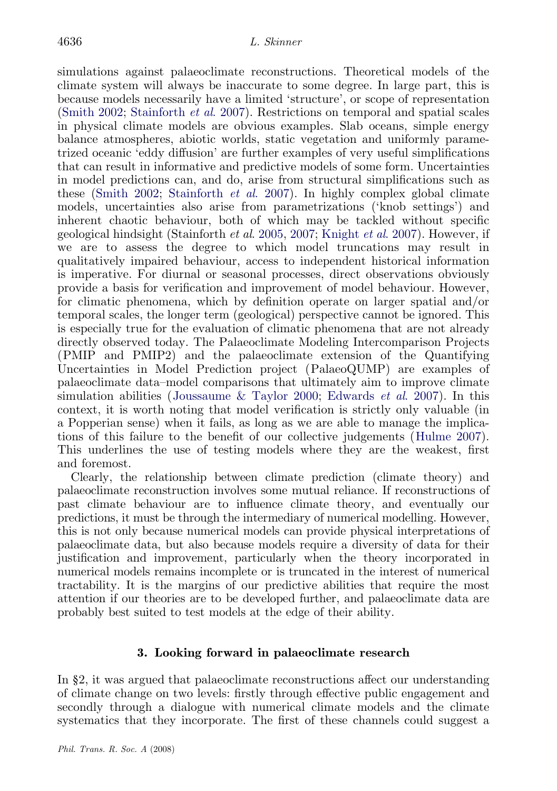simulations against palaeoclimate reconstructions. Theoretical models of the climate system will always be inaccurate to some degree. In large part, this is because models necessarily have a limited 'structure', or scope of representation [\(Smith 2002](#page-16-0); [Stainforth](#page-16-0) et al. 2007). Restrictions on temporal and spatial scales in physical climate models are obvious examples. Slab oceans, simple energy balance atmospheres, abiotic worlds, static vegetation and uniformly parametrized oceanic 'eddy diffusion' are further examples of very useful simplifications that can result in informative and predictive models of some form. Uncertainties in model predictions can, and do, arise from structural simplifications such as these ([Smith 2002;](#page-16-0) [Stainforth](#page-16-0) et al. 2007). In highly complex global climate models, uncertainties also arise from parametrizations ('knob settings') and inherent chaotic behaviour, both of which may be tackled without specific geological hindsight (Stainforth et al. [2005,](#page-16-0) [2007;](#page-16-0) [Knight](#page-14-0) et al. 2007). However, if we are to assess the degree to which model truncations may result in qualitatively impaired behaviour, access to independent historical information is imperative. For diurnal or seasonal processes, direct observations obviously provide a basis for verification and improvement of model behaviour. However, for climatic phenomena, which by definition operate on larger spatial and/or temporal scales, the longer term (geological) perspective cannot be ignored. This is especially true for the evaluation of climatic phenomena that are not already directly observed today. The Palaeoclimate Modeling Intercomparison Projects (PMIP and PMIP2) and the palaeoclimate extension of the Quantifying Uncertainties in Model Prediction project (PalaeoQUMP) are examples of palaeoclimate data–model comparisons that ultimately aim to improve climate simulation abilities (Joussaume  $& \text{Taylor } 2000;$  [Edwards](#page-14-0) *et al.* 2007). In this context, it is worth noting that model verification is strictly only valuable (in a Popperian sense) when it fails, as long as we are able to manage the implications of this failure to the benefit of our collective judgements ([Hulme 2007](#page-14-0)). This underlines the use of testing models where they are the weakest, first and foremost.

Clearly, the relationship between climate prediction (climate theory) and palaeoclimate reconstruction involves some mutual reliance. If reconstructions of past climate behaviour are to influence climate theory, and eventually our predictions, it must be through the intermediary of numerical modelling. However, this is not only because numerical models can provide physical interpretations of palaeoclimate data, but also because models require a diversity of data for their justification and improvement, particularly when the theory incorporated in numerical models remains incomplete or is truncated in the interest of numerical tractability. It is the margins of our predictive abilities that require the most attention if our theories are to be developed further, and palaeoclimate data are probably best suited to test models at the edge of their ability.

## 3. Looking forward in palaeoclimate research

In *§*2, it was argued that palaeoclimate reconstructions affect our understanding of climate change on two levels: firstly through effective public engagement and secondly through a dialogue with numerical climate models and the climate systematics that they incorporate. The first of these channels could suggest a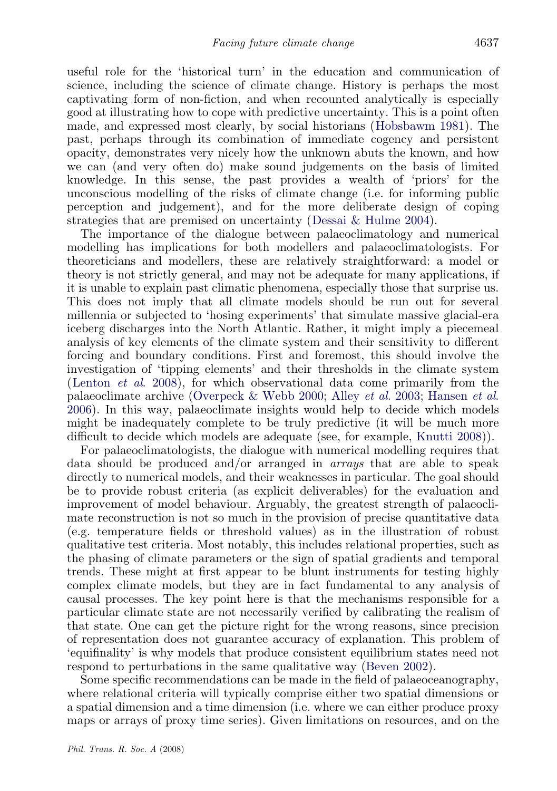useful role for the 'historical turn' in the education and communication of science, including the science of climate change. History is perhaps the most captivating form of non-fiction, and when recounted analytically is especially good at illustrating how to cope with predictive uncertainty. This is a point often made, and expressed most clearly, by social historians ([Hobsbawm 1981](#page-14-0)). The past, perhaps through its combination of immediate cogency and persistent opacity, demonstrates very nicely how the unknown abuts the known, and how we can (and very often do) make sound judgements on the basis of limited knowledge. In this sense, the past provides a wealth of 'priors' for the unconscious modelling of the risks of climate change (i.e. for informing public perception and judgement), and for the more deliberate design of coping strategies that are premised on uncertainty (Dessai  $\&$  Hulme 2004).

The importance of the dialogue between palaeoclimatology and numerical modelling has implications for both modellers and palaeoclimatologists. For theoreticians and modellers, these are relatively straightforward: a model or theory is not strictly general, and may not be adequate for many applications, if it is unable to explain past climatic phenomena, especially those that surprise us. This does not imply that all climate models should be run out for several millennia or subjected to 'hosing experiments' that simulate massive glacial-era iceberg discharges into the North Atlantic. Rather, it might imply a piecemeal analysis of key elements of the climate system and their sensitivity to different forcing and boundary conditions. First and foremost, this should involve the investigation of 'tipping elements' and their thresholds in the climate system ([Lenton](#page-15-0) et al. 2008), for which observational data come primarily from the palaeoclimate archive ([Overpeck & Webb 2000;](#page-15-0) Alley et al[. 2003](#page-13-0); [Hansen](#page-14-0) et al. [2006](#page-14-0)). In this way, palaeoclimate insights would help to decide which models might be inadequately complete to be truly predictive (it will be much more difficult to decide which models are adequate (see, for example, [Knutti 2008\)](#page-14-0)).

For palaeoclimatologists, the dialogue with numerical modelling requires that data should be produced and/or arranged in *arrays* that are able to speak directly to numerical models, and their weaknesses in particular. The goal should be to provide robust criteria (as explicit deliverables) for the evaluation and improvement of model behaviour. Arguably, the greatest strength of palaeoclimate reconstruction is not so much in the provision of precise quantitative data (e.g. temperature fields or threshold values) as in the illustration of robust qualitative test criteria. Most notably, this includes relational properties, such as the phasing of climate parameters or the sign of spatial gradients and temporal trends. These might at first appear to be blunt instruments for testing highly complex climate models, but they are in fact fundamental to any analysis of causal processes. The key point here is that the mechanisms responsible for a particular climate state are not necessarily verified by calibrating the realism of that state. One can get the picture right for the wrong reasons, since precision of representation does not guarantee accuracy of explanation. This problem of 'equifinality' is why models that produce consistent equilibrium states need not respond to perturbations in the same qualitative way [\(Beven 2002](#page-13-0)).

Some specific recommendations can be made in the field of palaeoceanography, where relational criteria will typically comprise either two spatial dimensions or a spatial dimension and a time dimension (i.e. where we can either produce proxy maps or arrays of proxy time series). Given limitations on resources, and on the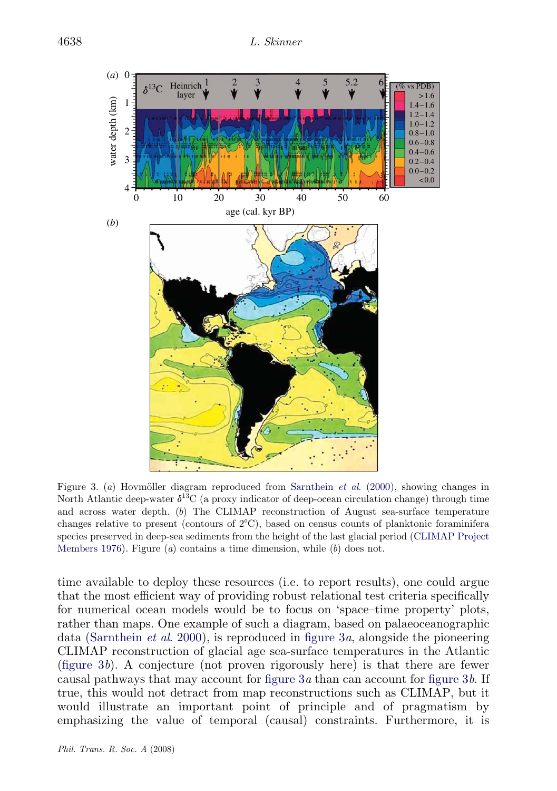<span id="page-11-0"></span>

Figure 3. (a) Hovmöller diagram reproduced from [Sarnthein](#page-16-0) *et al.* (2000), showing changes in North Atlantic deep-water  $\delta^{13}C$  (a proxy indicator of deep-ocean circulation change) through time and across water depth. (b) The CLIMAP reconstruction of August sea-surface temperature changes relative to present (contours of 2*8*C), based on census counts of planktonic foraminifera species preserved in deep-sea sediments from the height of the last glacial period [\(CLIMAP Project](#page-13-0) [Members 1976\)](#page-13-0). Figure (a) contains a time dimension, while  $(b)$  does not.

time available to deploy these resources (i.e. to report results), one could argue that the most efficient way of providing robust relational test criteria specifically for numerical ocean models would be to focus on 'space–time property' plots, rather than maps. One example of such a diagram, based on palaeoceanographic data ([Sarnthein](#page-16-0) *et al.* 2000), is reproduced in figure 3*a*, alongside the pioneering CLIMAP reconstruction of glacial age sea-surface temperatures in the Atlantic (figure  $3b$ ). A conjecture (not proven rigorously here) is that there are fewer causal pathways that may account for figure 3a than can account for figure 3b. If true, this would not detract from map reconstructions such as CLIMAP, but it would illustrate an important point of principle and of pragmatism by emphasizing the value of temporal (causal) constraints. Furthermore, it is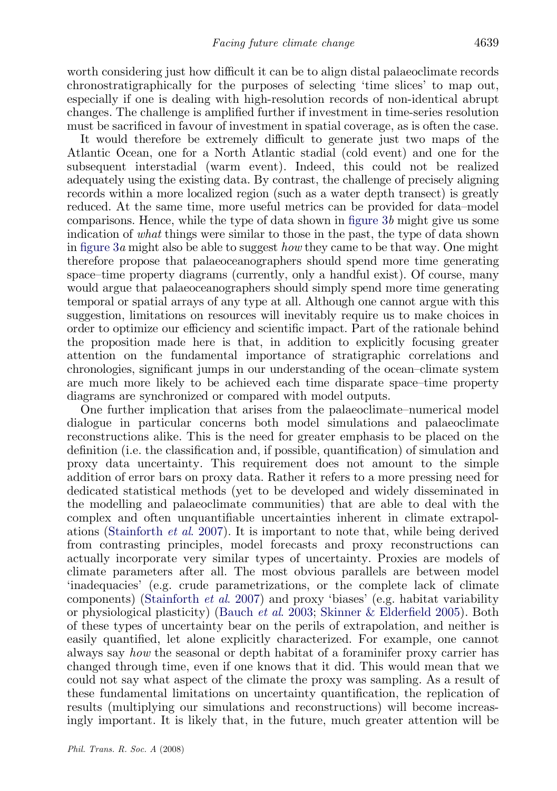worth considering just how difficult it can be to align distal palaeoclimate records chronostratigraphically for the purposes of selecting 'time slices' to map out, especially if one is dealing with high-resolution records of non-identical abrupt changes. The challenge is amplified further if investment in time-series resolution must be sacrificed in favour of investment in spatial coverage, as is often the case.

It would therefore be extremely difficult to generate just two maps of the Atlantic Ocean, one for a North Atlantic stadial (cold event) and one for the subsequent interstadial (warm event). Indeed, this could not be realized adequately using the existing data. By contrast, the challenge of precisely aligning records within a more localized region (such as a water depth transect) is greatly reduced. At the same time, more useful metrics can be provided for data–model comparisons. Hence, while the type of data shown in [figure 3](#page-11-0)b might give us some indication of what things were similar to those in the past, the type of data shown in figure  $3a$  might also be able to suggest *how* they came to be that way. One might therefore propose that palaeoceanographers should spend more time generating space–time property diagrams (currently, only a handful exist). Of course, many would argue that palaeoceanographers should simply spend more time generating temporal or spatial arrays of any type at all. Although one cannot argue with this suggestion, limitations on resources will inevitably require us to make choices in order to optimize our efficiency and scientific impact. Part of the rationale behind the proposition made here is that, in addition to explicitly focusing greater attention on the fundamental importance of stratigraphic correlations and chronologies, significant jumps in our understanding of the ocean–climate system are much more likely to be achieved each time disparate space–time property diagrams are synchronized or compared with model outputs.

One further implication that arises from the palaeoclimate–numerical model dialogue in particular concerns both model simulations and palaeoclimate reconstructions alike. This is the need for greater emphasis to be placed on the definition (i.e. the classification and, if possible, quantification) of simulation and proxy data uncertainty. This requirement does not amount to the simple addition of error bars on proxy data. Rather it refers to a more pressing need for dedicated statistical methods (yet to be developed and widely disseminated in the modelling and palaeoclimate communities) that are able to deal with the complex and often unquantifiable uncertainties inherent in climate extrapolations ([Stainforth](#page-16-0) et al. 2007). It is important to note that, while being derived from contrasting principles, model forecasts and proxy reconstructions can actually incorporate very similar types of uncertainty. Proxies are models of climate parameters after all. The most obvious parallels are between model 'inadequacies' (e.g. crude parametrizations, or the complete lack of climate components) [\(Stainforth](#page-16-0) et al. 2007) and proxy 'biases' (e.g. habitat variability or physiological plasticity) [\(Bauch](#page-13-0) et al. 2003; [Skinner & Elderfield 2005](#page-16-0)). Both of these types of uncertainty bear on the perils of extrapolation, and neither is easily quantified, let alone explicitly characterized. For example, one cannot always say how the seasonal or depth habitat of a foraminifer proxy carrier has changed through time, even if one knows that it did. This would mean that we could not say what aspect of the climate the proxy was sampling. As a result of these fundamental limitations on uncertainty quantification, the replication of results (multiplying our simulations and reconstructions) will become increasingly important. It is likely that, in the future, much greater attention will be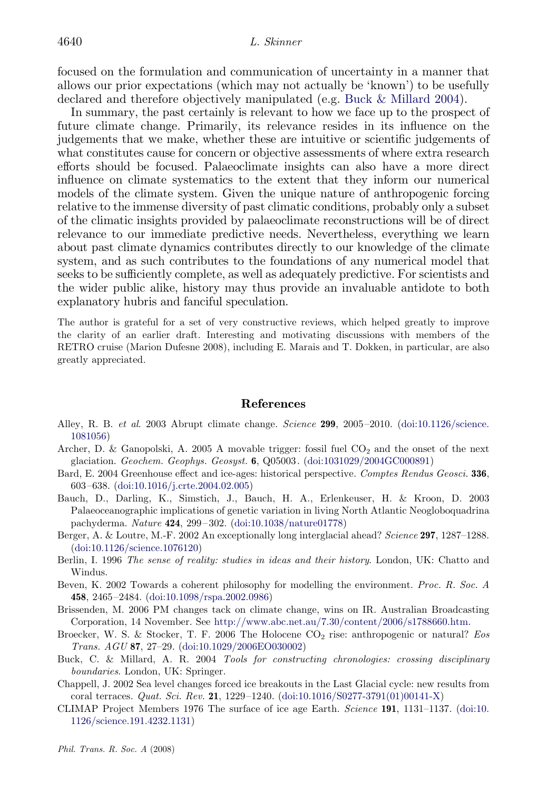### <span id="page-13-0"></span>4640 L. Skinner

focused on the formulation and communication of uncertainty in a manner that allows our prior expectations (which may not actually be 'known') to be usefully declared and therefore objectively manipulated (e.g. Buck & Millard 2004).

In summary, the past certainly is relevant to how we face up to the prospect of future climate change. Primarily, its relevance resides in its influence on the judgements that we make, whether these are intuitive or scientific judgements of what constitutes cause for concern or objective assessments of where extra research efforts should be focused. Palaeoclimate insights can also have a more direct influence on climate systematics to the extent that they inform our numerical models of the climate system. Given the unique nature of anthropogenic forcing relative to the immense diversity of past climatic conditions, probably only a subset of the climatic insights provided by palaeoclimate reconstructions will be of direct relevance to our immediate predictive needs. Nevertheless, everything we learn about past climate dynamics contributes directly to our knowledge of the climate system, and as such contributes to the foundations of any numerical model that seeks to be sufficiently complete, as well as adequately predictive. For scientists and the wider public alike, history may thus provide an invaluable antidote to both explanatory hubris and fanciful speculation.

The author is grateful for a set of very constructive reviews, which helped greatly to improve the clarity of an earlier draft. Interesting and motivating discussions with members of the RETRO cruise (Marion Dufesne 2008), including E. Marais and T. Dokken, in particular, are also greatly appreciated.

### References

- Alley, R. B. et al. 2003 Abrupt climate change. Science 299, 2005-2010. [\(doi:10.1126/science.](http://dx.doi.org/doi:10.1126/science.1081056) [1081056](http://dx.doi.org/doi:10.1126/science.1081056))
- Archer, D. & Ganopolski, A. 2005 A movable trigger: fossil fuel  $CO<sub>2</sub>$  and the onset of the next glaciation. Geochem. Geophys. Geosyst. 6, Q05003. [\(doi:1031029/2004GC000891\)](http://dx.doi.org/doi:1031029/2004GC000891)
- Bard, E. 2004 Greenhouse effect and ice-ages: historical perspective. Comptes Rendus Geosci. 336, 603 –638. [\(doi:10.1016/j.crte.2004.02.005\)](http://dx.doi.org/doi:10.1016/j.crte.2004.02.005)
- Bauch, D., Darling, K., Simstich, J., Bauch, H. A., Erlenkeuser, H. & Kroon, D. 2003 Palaeoceanographic implications of genetic variation in living North Atlantic Neogloboquadrina pachyderma. Nature 424, 299 – 302. ([doi:10.1038/nature01778\)](http://dx.doi.org/doi:10.1038/nature01778)
- Berger, A. & Loutre, M.-F. 2002 An exceptionally long interglacial ahead? Science 297, 1287–1288. [\(doi:10.1126/science.1076120\)](http://dx.doi.org/doi:10.1126/science.1076120)
- Berlin, I. 1996 The sense of reality: studies in ideas and their history. London, UK: Chatto and Windus.
- Beven, K. 2002 Towards a coherent philosophy for modelling the environment. Proc. R. Soc. A 458, 2465 –2484. [\(doi:10.1098/rspa.2002.0986](http://dx.doi.org/doi:10.1098/rspa.2002.0986))
- Brissenden, M. 2006 PM changes tack on climate change, wins on IR. Australian Broadcasting Corporation, 14 November. See [http://www.abc.net.au/7.30/content/2006/s1788660.htm.](http://www.abc.net.au/7.30/content/2006/s1788660.htm)
- Broecker, W. S. & Stocker, T. F. 2006 The Holocene  $CO_2$  rise: anthropogenic or natural? Eos Trans. AGU 87, 27–29. ([doi:10.1029/2006EO030002\)](http://dx.doi.org/doi:10.1029/2006EO030002)
- Buck, C. & Millard, A. R. 2004 Tools for constructing chronologies: crossing disciplinary boundaries. London, UK: Springer.
- Chappell, J. 2002 Sea level changes forced ice breakouts in the Last Glacial cycle: new results from coral terraces. Quat. Sci. Rev. 21, 1229-1240. ([doi:10.1016/S0277-3791\(01\)00141-X\)](http://dx.doi.org/doi:10.1016/S0277-3791(01)00141-X)
- CLIMAP Project Members 1976 The surface of ice age Earth. Science 191, 1131–1137. [\(doi:10.](http://dx.doi.org/doi:10.1126/science.191.4232.1131) [1126/science.191.4232.1131](http://dx.doi.org/doi:10.1126/science.191.4232.1131))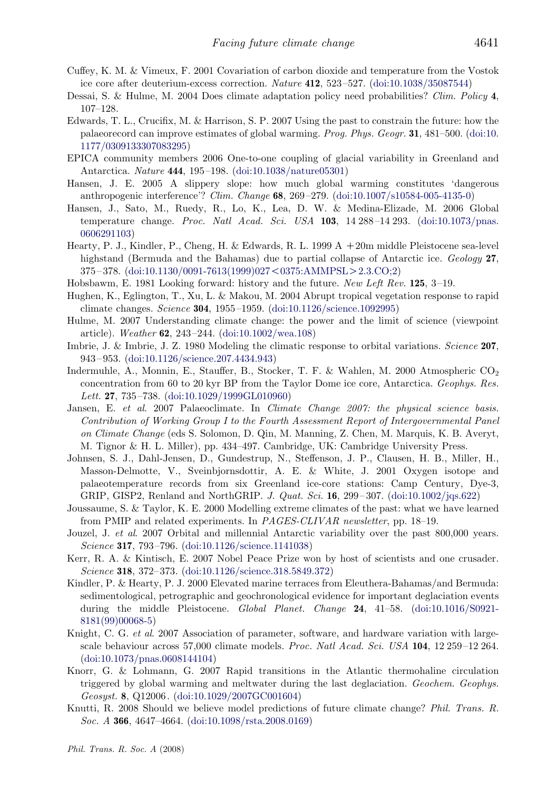- <span id="page-14-0"></span>Cuffey, K. M. & Vimeux, F. 2001 Covariation of carbon dioxide and temperature from the Vostok ice core after deuterium-excess correction. Nature 412, 523 –527. ([doi:10.1038/35087544\)](http://dx.doi.org/doi:10.1038/35087544)
- Dessai, S. & Hulme, M. 2004 Does climate adaptation policy need probabilities? Clim. Policy 4, 107–128.
- Edwards, T. L., Crucifix, M. & Harrison, S. P. 2007 Using the past to constrain the future: how the palaeorecord can improve estimates of global warming. Prog. Phys. Geogr. 31, 481–500. ([doi:10.](http://dx.doi.org/doi:10.1177/0309133307083295) [1177/0309133307083295](http://dx.doi.org/doi:10.1177/0309133307083295))
- EPICA community members 2006 One-to-one coupling of glacial variability in Greenland and Antarctica. Nature 444, 195 –198. [\(doi:10.1038/nature05301](http://dx.doi.org/doi:10.1038/nature05301))
- Hansen, J. E. 2005 A slippery slope: how much global warming constitutes 'dangerous anthropogenic interference'? Clim. Change 68, 269 –279. ([doi:10.1007/s10584-005-4135-0](http://dx.doi.org/doi:10.1007/s10584-005-4135-0))
- Hansen, J., Sato, M., Ruedy, R., Lo, K., Lea, D. W. & Medina-Elizade, M. 2006 Global temperature change. Proc. Natl Acad. Sci. USA 103, 14 288-14 293. [\(doi:10.1073/pnas.](http://dx.doi.org/doi:10.1073/pnas.0606291103) [0606291103](http://dx.doi.org/doi:10.1073/pnas.0606291103))
- Hearty, P. J., Kindler, P., Cheng, H. & Edwards, R. L. 1999 A + 20m middle Pleistocene sea-level highstand (Bermuda and the Bahamas) due to partial collapse of Antarctic ice. Geology 27,  $375 - 378$ . ([doi:10.1130/0091-7613\(1999\)027](http://dx.doi.org/doi:10.1130/0091-7613(1999)027%3C0375:AMMPSL%3E2.3.CO;2)<0375:AMMPSL>2.3.CO:2)
- Hobsbawm, E. 1981 Looking forward: history and the future. New Left Rev. 125, 3 –19.
- Hughen, K., Eglington, T., Xu, L. & Makou, M. 2004 Abrupt tropical vegetation response to rapid climate changes. Science 304, 1955 –1959. ([doi:10.1126/science.1092995](http://dx.doi.org/doi:10.1126/science.1092995))
- Hulme, M. 2007 Understanding climate change: the power and the limit of science (viewpoint article). Weather 62, 243 –244. [\(doi:10.1002/wea.108](http://dx.doi.org/doi:10.1002/wea.108))
- Imbrie, J. & Imbrie, J. Z. 1980 Modeling the climatic response to orbital variations. Science 207, 943 – 953. ([doi:10.1126/science.207.4434.943\)](http://dx.doi.org/doi:10.1126/science.207.4434.943)
- Indermuhle, A., Monnin, E., Stauffer, B., Stocker, T. F. & Wahlen, M. 2000 Atmospheric  $CO<sub>2</sub>$ concentration from 60 to 20 kyr BP from the Taylor Dome ice core, Antarctica. Geophys. Res. Lett. 27, 735-738.  $(doi:10.1029/1999GL010960)$  $(doi:10.1029/1999GL010960)$
- Jansen, E. et al. 2007 Palaeoclimate. In Climate Change 2007: the physical science basis. Contribution of Working Group I to the Fourth Assessment Report of Intergovernmental Panel on Climate Change (eds S. Solomon, D. Qin, M. Manning, Z. Chen, M. Marquis, K. B. Averyt, M. Tignor & H. L. Miller), pp. 434–497. Cambridge, UK: Cambridge University Press.
- Johnsen, S. J., Dahl-Jensen, D., Gundestrup, N., Steffenson, J. P., Clausen, H. B., Miller, H., Masson-Delmotte, V., Sveinbjornsdottir, A. E. & White, J. 2001 Oxygen isotope and palaeotemperature records from six Greenland ice-core stations: Camp Century, Dye-3, GRIP, GISP2, Renland and NorthGRIP. J. Quat. Sci. 16, 299 – 307. ([doi:10.1002/jqs.622](http://dx.doi.org/doi:10.1002/jqs.622))
- Joussaume, S. & Taylor, K. E. 2000 Modelling extreme climates of the past: what we have learned from PMIP and related experiments. In PAGES-CLIVAR newsletter, pp. 18–19.
- Jouzel, J. et al. 2007 Orbital and millennial Antarctic variability over the past 800,000 years. Science 317, 793 –796. [\(doi:10.1126/science.1141038\)](http://dx.doi.org/doi:10.1126/science.1141038)
- Kerr, R. A. & Kintisch, E. 2007 Nobel Peace Prize won by host of scientists and one crusader. Science 318, 372– 373. [\(doi:10.1126/science.318.5849.372](http://dx.doi.org/doi:10.1126/science.318.5849.372))
- Kindler, P. & Hearty, P. J. 2000 Elevated marine terraces from Eleuthera-Bahamas/and Bermuda: sedimentological, petrographic and geochronological evidence for important deglaciation events during the middle Pleistocene. Global Planet. Change 24, 41–58. ([doi:10.1016/S0921-](http://dx.doi.org/doi:10.1016/S0921-8181(99)00068-5) [8181\(99\)00068-5\)](http://dx.doi.org/doi:10.1016/S0921-8181(99)00068-5)
- Knight, C. G. et al. 2007 Association of parameter, software, and hardware variation with largescale behaviour across 57,000 climate models. Proc. Natl Acad. Sci. USA 104, 12 259 –12 264. ([doi:10.1073/pnas.0608144104](http://dx.doi.org/doi:10.1073/pnas.0608144104))
- Knorr, G. & Lohmann, G. 2007 Rapid transitions in the Atlantic thermohaline circulation triggered by global warming and meltwater during the last deglaciation. Geochem. Geophys. Geosyst. 8, Q12006. ([doi:10.1029/2007GC001604\)](http://dx.doi.org/doi:10.1029/2007GC001604)
- Knutti, R. 2008 Should we believe model predictions of future climate change? Phil. Trans. R. Soc. A 366, 4647–4664. [\(doi:10.1098/rsta.2008.0169](http://dx.doi.org/doi:10.1098/rsta.2008.0169))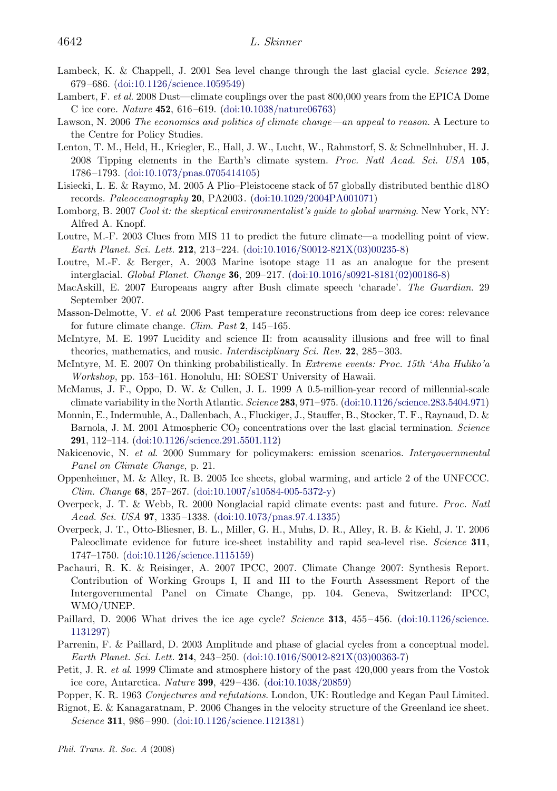- <span id="page-15-0"></span>Lambeck, K. & Chappell, J. 2001 Sea level change through the last glacial cycle. Science 292, 679 –686. [\(doi:10.1126/science.1059549\)](http://dx.doi.org/doi:10.1126/science.1059549)
- Lambert, F. et al. 2008 Dust—climate couplings over the past 800,000 years from the EPICA Dome C ice core. Nature 452, 616 –619. [\(doi:10.1038/nature06763](http://dx.doi.org/doi:10.1038/nature06763))
- Lawson, N. 2006 The economics and politics of climate change—an appeal to reason. A Lecture to the Centre for Policy Studies.
- Lenton, T. M., Held, H., Kriegler, E., Hall, J. W., Lucht, W., Rahmstorf, S. & Schnellnhuber, H. J. 2008 Tipping elements in the Earth's climate system. Proc. Natl Acad. Sci. USA 105, 1786 –1793. [\(doi:10.1073/pnas.0705414105\)](http://dx.doi.org/doi:10.1073/pnas.0705414105)
- Lisiecki, L. E. & Raymo, M. 2005 A Plio–Pleistocene stack of 57 globally distributed benthic d18O records. Paleoceanography 20, PA2003. [\(doi:10.1029/2004PA001071](http://dx.doi.org/doi:10.1029/2004PA001071))
- Lomborg, B. 2007 Cool it: the skeptical environmentalist's quide to global warming. New York, NY: Alfred A. Knopf.
- Loutre, M.-F. 2003 Clues from MIS 11 to predict the future climate—a modelling point of view. Earth Planet. Sci. Lett. 212, 213 –224. ([doi:10.1016/S0012-821X\(03\)00235-8\)](http://dx.doi.org/doi:10.1016/S0012-821X(03)00235-8)
- Loutre, M.-F. & Berger, A. 2003 Marine isotope stage 11 as an analogue for the present interglacial. Global Planet. Change 36, 209– 217. ([doi:10.1016/s0921-8181\(02\)00186-8](http://dx.doi.org/doi:10.1016/s0921-8181(02)00186-8))
- MacAskill, E. 2007 Europeans angry after Bush climate speech 'charade'. The Guardian. 29 September 2007.
- Masson-Delmotte, V. et al. 2006 Past temperature reconstructions from deep ice cores: relevance for future climate change. Clim. Past 2, 145 –165.
- McIntyre, M. E. 1997 Lucidity and science II: from acausality illusions and free will to final theories, mathematics, and music. Interdisciplinary Sci. Rev. 22, 285-303.
- McIntyre, M. E. 2007 On thinking probabilistically. In *Extreme events: Proc. 15th 'Aha Huliko'a* Workshop, pp. 153–161. Honolulu, HI: SOEST University of Hawaii.
- McManus, J. F., Oppo, D. W. & Cullen, J. L. 1999 A 0.5-million-year record of millennial-scale climate variability in the North Atlantic. Science 283, 971–975. [\(doi:10.1126/science.283.5404.971\)](http://dx.doi.org/doi:10.1126/science.283.5404.971)
- Monnin, E., Indermuhle, A., Dallenbach, A., Fluckiger, J., Stauffer, B., Stocker, T. F., Raynaud, D. & Barnola, J. M. 2001 Atmospheric  $CO_2$  concentrations over the last glacial termination. Science 291, 112–114. [\(doi:10.1126/science.291.5501.112](http://dx.doi.org/doi:10.1126/science.291.5501.112))
- Nakicenovic, N. et al. 2000 Summary for policymakers: emission scenarios. Intergovernmental Panel on Climate Change, p. 21.
- Oppenheimer, M. & Alley, R. B. 2005 Ice sheets, global warming, and article 2 of the UNFCCC. Clim. Change 68, 257–267. [\(doi:10.1007/s10584-005-5372-y\)](http://dx.doi.org/doi:10.1007/s10584-005-5372-y)
- Overpeck, J. T. & Webb, R. 2000 Nonglacial rapid climate events: past and future. Proc. Natl Acad. Sci. USA 97, 1335 –1338. ([doi:10.1073/pnas.97.4.1335\)](http://dx.doi.org/doi:10.1073/pnas.97.4.1335)
- Overpeck, J. T., Otto-Bliesner, B. L., Miller, G. H., Muhs, D. R., Alley, R. B. & Kiehl, J. T. 2006 Paleoclimate evidence for future ice-sheet instability and rapid sea-level rise. Science 311, 1747–1750. [\(doi:10.1126/science.1115159\)](http://dx.doi.org/doi:10.1126/science.1115159)
- Pachauri, R. K. & Reisinger, A. 2007 IPCC, 2007. Climate Change 2007: Synthesis Report. Contribution of Working Groups I, II and III to the Fourth Assessment Report of the Intergovernmental Panel on Cimate Change, pp. 104. Geneva, Switzerland: IPCC, WMO/UNEP.
- Paillard, D. 2006 What drives the ice age cycle? Science 313, 455-456. [\(doi:10.1126/science.](http://dx.doi.org/doi:10.1126/science.1131297) [1131297](http://dx.doi.org/doi:10.1126/science.1131297))
- Parrenin, F. & Paillard, D. 2003 Amplitude and phase of glacial cycles from a conceptual model. Earth Planet. Sci. Lett. 214, 243 –250. ([doi:10.1016/S0012-821X\(03\)00363-7\)](http://dx.doi.org/doi:10.1016/S0012-821X(03)00363-7)
- Petit, J. R. et al. 1999 Climate and atmosphere history of the past  $420,000$  years from the Vostok ice core, Antarctica. Nature 399, 429 – 436. [\(doi:10.1038/20859\)](http://dx.doi.org/doi:10.1038/20859)
- Popper, K. R. 1963 Conjectures and refutations. London, UK: Routledge and Kegan Paul Limited.
- Rignot, E. & Kanagaratnam, P. 2006 Changes in the velocity structure of the Greenland ice sheet. Science 311, 986 – 990. ([doi:10.1126/science.1121381](http://dx.doi.org/doi:10.1126/science.1121381))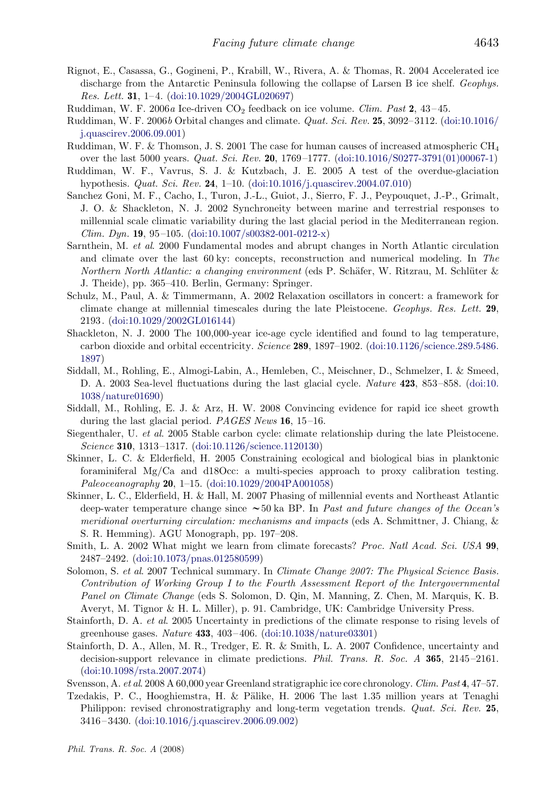- <span id="page-16-0"></span>Rignot, E., Casassa, G., Gogineni, P., Krabill, W., Rivera, A. & Thomas, R. 2004 Accelerated ice discharge from the Antarctic Peninsula following the collapse of Larsen B ice shelf. Geophys. Res. Lett. 31, 1-4.  $(doi:10.1029/2004GL020697)$
- Ruddiman, W. F. 2006a Ice-driven  $CO<sub>2</sub>$  feedback on ice volume. Clim. Past 2, 43-45.
- Ruddiman, W. F. 2006b Orbital changes and climate. Quat. Sci. Rev. 25, 3092– 3112. [\(doi:10.1016/](http://dx.doi.org/doi:10.1016/j.quascirev.2006.09.001) [j.quascirev.2006.09.001\)](http://dx.doi.org/doi:10.1016/j.quascirev.2006.09.001)
- Ruddiman, W. F. & Thomson, J. S. 2001 The case for human causes of increased atmospheric  $CH_4$ over the last 5000 years. Quat. Sci. Rev. 20, 1769 –1777. [\(doi:10.1016/S0277-3791\(01\)00067-1](http://dx.doi.org/doi:10.1016/S0277-3791(01)00067-1))
- Ruddiman, W. F., Vavrus, S. J. & Kutzbach, J. E. 2005 A test of the overdue-glaciation hypothesis. Quat. Sci. Rev. 24, 1–10. [\(doi:10.1016/j.quascirev.2004.07.010](http://dx.doi.org/doi:10.1016/j.quascirev.2004.07.010))
- Sanchez Goni, M. F., Cacho, I., Turon, J.-L., Guiot, J., Sierro, F. J., Peypouquet, J.-P., Grimalt, J. O. & Shackleton, N. J. 2002 Synchroneity between marine and terrestrial responses to millennial scale climatic variability during the last glacial period in the Mediterranean region. Clim. Dyn. 19, 95-105. [\(doi:10.1007/s00382-001-0212-x\)](http://dx.doi.org/doi:10.1007/s00382-001-0212-x)
- Sarnthein, M. et al. 2000 Fundamental modes and abrupt changes in North Atlantic circulation and climate over the last 60 ky: concepts, reconstruction and numerical modeling. In The Northern North Atlantic: a changing environment (eds P. Schäfer, W. Ritzrau, M. Schlüter & J. Theide), pp. 365–410. Berlin, Germany: Springer.
- Schulz, M., Paul, A. & Timmermann, A. 2002 Relaxation oscillators in concert: a framework for climate change at millennial timescales during the late Pleistocene. Geophys. Res. Lett. 29, 2193. [\(doi:10.1029/2002GL016144](http://dx.doi.org/doi:10.1029/2002GL016144))
- Shackleton, N. J. 2000 The 100,000-year ice-age cycle identified and found to lag temperature, carbon dioxide and orbital eccentricity. Science 289, 1897–1902. [\(doi:10.1126/science.289.5486.](http://dx.doi.org/doi:10.1126/science.289.5486.1897) [1897](http://dx.doi.org/doi:10.1126/science.289.5486.1897))
- Siddall, M., Rohling, E., Almogi-Labin, A., Hemleben, C., Meischner, D., Schmelzer, I. & Smeed, D. A. 2003 Sea-level fluctuations during the last glacial cycle. *Nature* 423, 853–858. ([doi:10.](http://dx.doi.org/doi:10.1038/nature01690) [1038/nature01690](http://dx.doi.org/doi:10.1038/nature01690))
- Siddall, M., Rohling, E. J. & Arz, H. W. 2008 Convincing evidence for rapid ice sheet growth during the last glacial period. PAGES News  $16$ , 15-16.
- Siegenthaler, U. et al. 2005 Stable carbon cycle: climate relationship during the late Pleistocene. Science 310, 1313 –1317. [\(doi:10.1126/science.1120130\)](http://dx.doi.org/doi:10.1126/science.1120130)
- Skinner, L. C. & Elderfield, H. 2005 Constraining ecological and biological bias in planktonic foraminiferal Mg/Ca and d18Occ: a multi-species approach to proxy calibration testing.  $Paleo ceanography$  20, 1–15. [\(doi:10.1029/2004PA001058\)](http://dx.doi.org/doi:10.1029/2004PA001058)
- Skinner, L. C., Elderfield, H. & Hall, M. 2007 Phasing of millennial events and Northeast Atlantic deep-water temperature change since  $\sim$  50 ka BP. In Past and future changes of the Ocean's meridional overturning circulation: mechanisms and impacts (eds A. Schmittner, J. Chiang, & S. R. Hemming). AGU Monograph, pp. 197–208.
- Smith, L. A. 2002 What might we learn from climate forecasts? Proc. Natl Acad. Sci. USA 99, 2487–2492. ([doi:10.1073/pnas.012580599\)](http://dx.doi.org/doi:10.1073/pnas.012580599)
- Solomon, S. et al. 2007 Technical summary. In *Climate Change 2007: The Physical Science Basis.* Contribution of Working Group I to the Fourth Assessment Report of the Intergovernmental Panel on Climate Change (eds S. Solomon, D. Qin, M. Manning, Z. Chen, M. Marquis, K. B. Averyt, M. Tignor & H. L. Miller), p. 91. Cambridge, UK: Cambridge University Press.
- Stainforth, D. A. et al. 2005 Uncertainty in predictions of the climate response to rising levels of greenhouse gases. Nature 433, 403 – 406. ([doi:10.1038/nature03301\)](http://dx.doi.org/doi:10.1038/nature03301)
- Stainforth, D. A., Allen, M. R., Tredger, E. R. & Smith, L. A. 2007 Confidence, uncertainty and decision-support relevance in climate predictions. Phil. Trans. R. Soc. A 365, 2145-2161. ([doi:10.1098/rsta.2007.2074\)](http://dx.doi.org/doi:10.1098/rsta.2007.2074)
- Svensson, A. et al. 2008 A 60,000 year Greenland stratigraphic ice core chronology. Clim. Past 4, 47–57.
- Tzedakis, P. C., Hooghiemstra, H. & Pälike, H. 2006 The last 1.35 million years at Tenaghi Philippon: revised chronostratigraphy and long-term vegetation trends. Quat. Sci. Rev. 25, 3416 – 3430. ([doi:10.1016/j.quascirev.2006.09.002\)](http://dx.doi.org/doi:10.1016/j.quascirev.2006.09.002)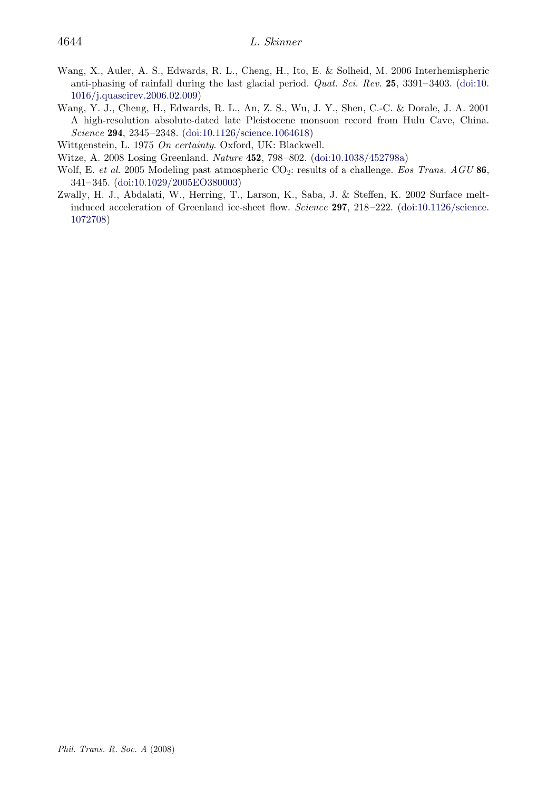- <span id="page-17-0"></span>Wang, X., Auler, A. S., Edwards, R. L., Cheng, H., Ito, E. & Solheid, M. 2006 Interhemispheric anti-phasing of rainfall during the last glacial period. Quat. Sci. Rev. 25, 3391– 3403. [\(doi:10.](http://dx.doi.org/doi:10.1016/j.quascirev.2006.02.009) [1016/j.quascirev.2006.02.009\)](http://dx.doi.org/doi:10.1016/j.quascirev.2006.02.009)
- Wang, Y. J., Cheng, H., Edwards, R. L., An, Z. S., Wu, J. Y., Shen, C.-C. & Dorale, J. A. 2001 A high-resolution absolute-dated late Pleistocene monsoon record from Hulu Cave, China. Science 294, 2345 –2348. ([doi:10.1126/science.1064618](http://dx.doi.org/doi:10.1126/science.1064618))
- Wittgenstein, L. 1975 On certainty. Oxford, UK: Blackwell.
- Witze, A. 2008 Losing Greenland. Nature 452, 798 –802. ([doi:10.1038/452798a](http://dx.doi.org/doi:10.1038/452798a))
- Wolf, E. et al. 2005 Modeling past atmospheric  $CO_2$ : results of a challenge. Eos Trans. AGU 86, 341– 345. [\(doi:10.1029/2005EO380003\)](http://dx.doi.org/doi:10.1029/2005EO380003)
- Zwally, H. J., Abdalati, W., Herring, T., Larson, K., Saba, J. & Steffen, K. 2002 Surface meltinduced acceleration of Greenland ice-sheet flow. Science 297, 218 –222. [\(doi:10.1126/science.](http://dx.doi.org/doi:10.1126/science.1072708) [1072708](http://dx.doi.org/doi:10.1126/science.1072708))